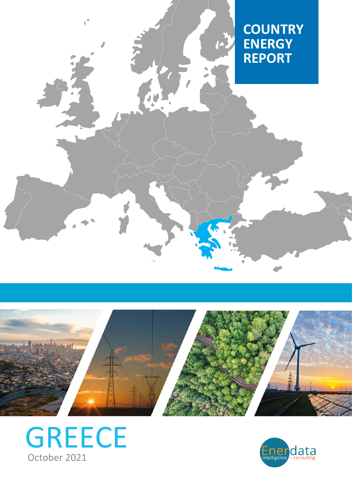# **COUNTRY ENERGY REPORT**



J.



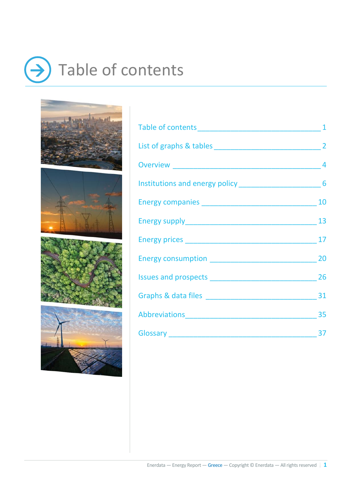# <span id="page-1-0"></span> $\rightarrow$  Table of contents









| Abbreviations 35 |  |
|------------------|--|
| Glossary 37      |  |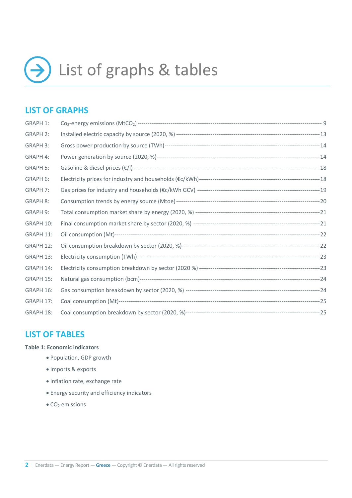<span id="page-2-0"></span>

## **LIST OF GRAPHS**

| <b>GRAPH 1:</b> |  |
|-----------------|--|
| <b>GRAPH 2:</b> |  |
| <b>GRAPH 3:</b> |  |
| <b>GRAPH 4:</b> |  |
| <b>GRAPH 5:</b> |  |
| GRAPH 6:        |  |
| <b>GRAPH 7:</b> |  |
| <b>GRAPH 8:</b> |  |
| GRAPH 9:        |  |
| GRAPH 10:       |  |
| GRAPH 11:       |  |
| GRAPH 12:       |  |
| GRAPH 13:       |  |
| GRAPH 14:       |  |
| GRAPH 15:       |  |
| GRAPH 16:       |  |
| GRAPH 17:       |  |
| GRAPH 18:       |  |

### **LIST OF TABLES**

#### **Table 1: Economic indicators**

- Population, GDP growth
- Imports & exports
- Inflation rate, exchange rate
- Energy security and efficiency indicators
- $\bullet$  CO<sub>2</sub> emissions